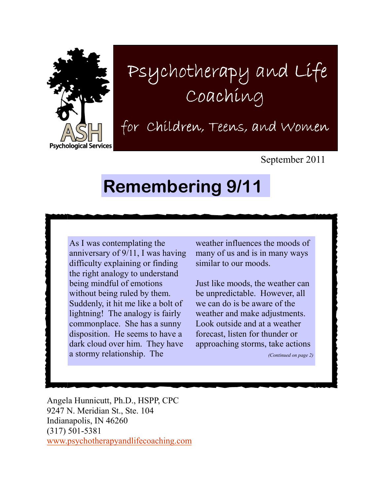

## Psychotherapy and Life Coaching

for Children, Teens, and Women

September 2011

## Remembering 9/11

As I was contemplating the anniversary of 9/11, I was having difficulty explaining or finding the right analogy to understand being mindful of emotions without being ruled by them. Suddenly, it hit me like a bolt of lightning! The analogy is fairly commonplace. She has a sunny disposition. He seems to have a dark cloud over him. They have a stormy relationship. The

weather influences the moods of many of us and is in many ways similar to our moods.

Just like moods, the weather can be unpredictable. However, all we can do is be aware of the weather and make adjustments. Look outside and at a weather forecast, listen for thunder or approaching storms, take actions

(Continued on page 2)

Angela Hunnicutt, Ph.D., HSPP, CPC 9247 N. Meridian St., Ste. 104 Indianapolis, IN 46260 (317) 501-5381 www.psychotherapyandlifecoaching.com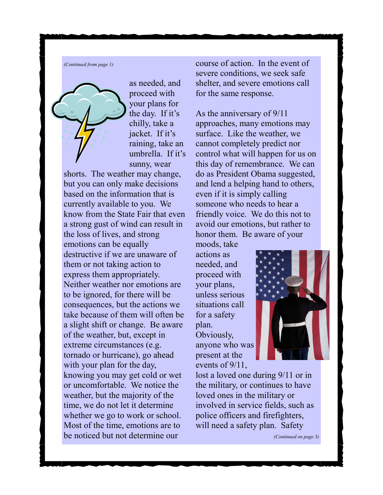(Continued from page 1)



as needed, and proceed with your plans for the day. If it's chilly, take a jacket. If it's raining, take an umbrella. If it's sunny, wear

shorts. The weather may change, but you can only make decisions based on the information that is currently available to you. We know from the State Fair that even a strong gust of wind can result in the loss of lives, and strong emotions can be equally destructive if we are unaware of them or not taking action to express them appropriately. Neither weather nor emotions are to be ignored, for there will be consequences, but the actions we take because of them will often be a slight shift or change. Be aware of the weather, but, except in extreme circumstances (e.g. tornado or hurricane), go ahead with your plan for the day, knowing you may get cold or wet or uncomfortable. We notice the weather, but the majority of the time, we do not let it determine whether we go to work or school. Most of the time, emotions are to be noticed but not determine our

course of action. In the event of severe conditions, we seek safe shelter, and severe emotions call for the same response.

As the anniversary of 9/11 approaches, many emotions may surface. Like the weather, we cannot completely predict nor control what will happen for us on this day of remembrance. We can do as President Obama suggested, and lend a helping hand to others, even if it is simply calling someone who needs to hear a friendly voice. We do this not to avoid our emotions, but rather to honor them. Be aware of your

moods, take actions as needed, and proceed with your plans, unless serious situations call for a safety plan. Obviously, anyone who was present at the events of 9/11,



lost a loved one during 9/11 or in the military, or continues to have loved ones in the military or involved in service fields, such as police officers and firefighters, will need a safety plan. Safety

(Continued on page 3)